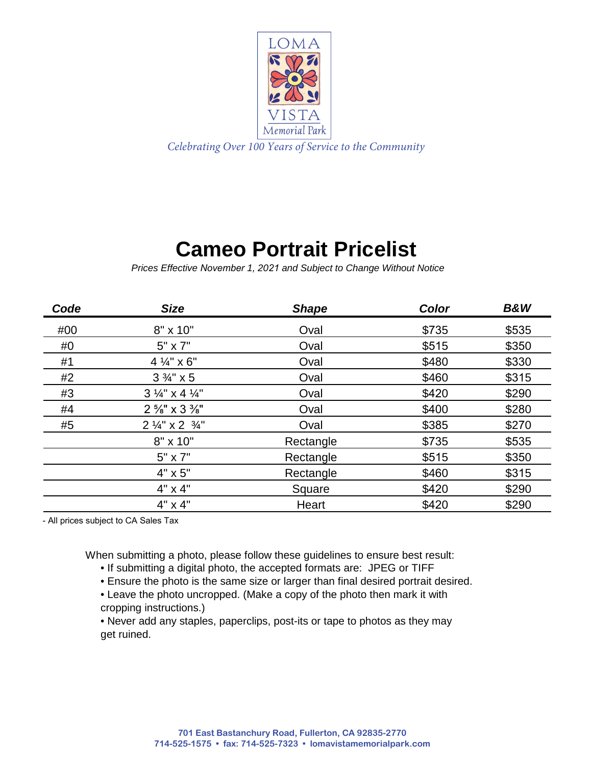

## **Cameo Portrait Pricelist**

*Prices Effective November 1, 2021 and Subject to Change Without Notice*

| Code | <b>Size</b>                         | <b>Shape</b> | Color | <b>B&amp;W</b> |
|------|-------------------------------------|--------------|-------|----------------|
| #00  | 8" x 10"                            | Oval         | \$735 | \$535          |
| #0   | $5" \times 7"$                      | Oval         | \$515 | \$350          |
| #1   | 4 1/4" x 6"                         | Oval         | \$480 | \$330          |
| #2   | $3\frac{3}{4}$ " x 5                | Oval         | \$460 | \$315          |
| #3   | $3\frac{1}{4}$ x 4 $\frac{1}{4}$    | Oval         | \$420 | \$290          |
| #4   | $2\frac{5}{8}$ " x $3\frac{3}{8}$ " | Oval         | \$400 | \$280          |
| #5   | $2\frac{1}{4}$ x 2 $\frac{3}{4}$ "  | Oval         | \$385 | \$270          |
|      | $8" \times 10"$                     | Rectangle    | \$735 | \$535          |
|      | $5" \times 7"$                      | Rectangle    | \$515 | \$350          |
|      | $4" \times 5"$                      | Rectangle    | \$460 | \$315          |
|      | 4" x 4"                             | Square       | \$420 | \$290          |
|      | $4" \times 4"$                      | Heart        | \$420 | \$290          |

- All prices subject to CA Sales Tax

When submitting a photo, please follow these guidelines to ensure best result:

- If submitting a digital photo, the accepted formats are: JPEG or TIFF
- Ensure the photo is the same size or larger than final desired portrait desired.
- Leave the photo uncropped. (Make a copy of the photo then mark it with cropping instructions.)

• Never add any staples, paperclips, post-its or tape to photos as they may get ruined.